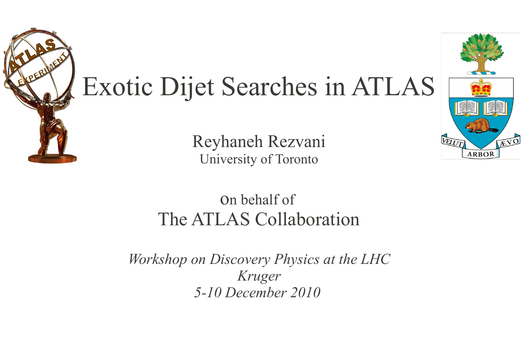

# Exotic Dijet Searches in ATLAS

Reyhaneh Rezvani University of Toronto

#### on behalf of The ATLAS Collaboration

*Workshop on Discovery Physics at the LHC Kruger 5-10 December 2010* 

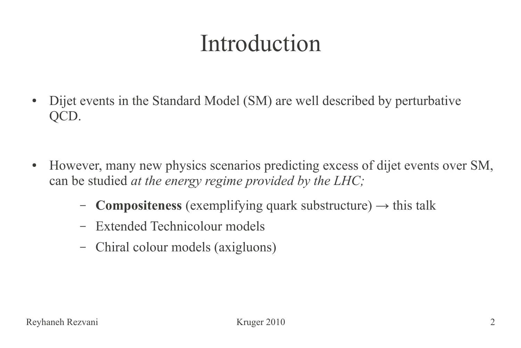# Introduction

- Dijet events in the Standard Model (SM) are well described by perturbative QCD.
- However, many new physics scenarios predicting excess of dijet events over SM, can be studied *at the energy regime provided by the LHC;*
	- **Compositeness** (exemplifying quark substructure)  $\rightarrow$  this talk
	- Extended Technicolour models
	- Chiral colour models (axigluons)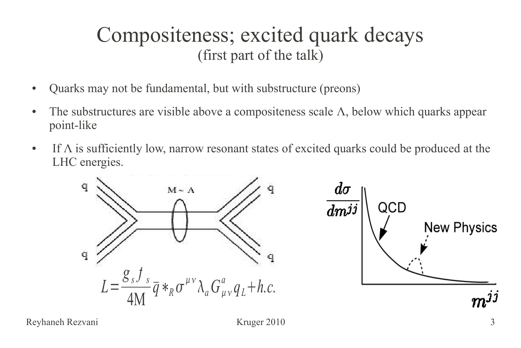#### Compositeness; excited quark decays (first part of the talk)

- Quarks may not be fundamental, but with substructure (preons)
- The substructures are visible above a compositeness scale  $\Lambda$ , below which quarks appear point-like
- If  $\Lambda$  is sufficiently low, narrow resonant states of excited quarks could be produced at the LHC energies.



Reyhaneh Rezvani Kruger 2010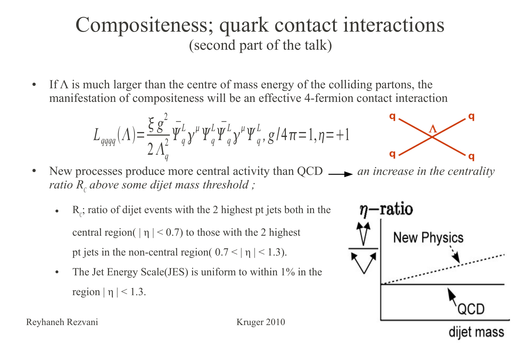#### Compositeness; quark contact interactions (second part of the talk)

• If  $\Lambda$  is much larger than the centre of mass energy of the colliding partons, the manifestation of compositeness will be an effective 4-fermion contact interaction

$$
L_{qqqq}(\Lambda) = \frac{\xi g^2}{2 \Lambda_q^2} \bar{\Psi}_q^L \gamma^\mu \Psi_q^L \bar{\Psi}_q^L \gamma^\mu \Psi_q^L, g/4\pi = 1, \eta = +1
$$

$$
\begin{matrix} \mathbf{q} & \\ \mathbf{q} & \\ \mathbf{q} & \\ \mathbf{q} & \\ \mathbf{q} & \\ \mathbf{q} & \\ \mathbf{q} & \\ \mathbf{q} & \\ \mathbf{q} & \\ \mathbf{q} & \\ \mathbf{q} & \\ \mathbf{q} & \\ \mathbf{q} & \\ \mathbf{q} & \\ \mathbf{q} & \\ \mathbf{q} & \\ \mathbf{q} & \\ \mathbf{q} & \\ \mathbf{q} & \\ \mathbf{q} & \\ \mathbf{q} & \\ \mathbf{q} & \\ \mathbf{q} & \\ \mathbf{q} & \\ \mathbf{q} & \\ \mathbf{q} & \\ \mathbf{q} & \\ \mathbf{q} & \\ \mathbf{q} & \\ \mathbf{q} & \\ \mathbf{q} & \\ \mathbf{q} & \\ \mathbf{q} & \\ \mathbf{q} & \\ \mathbf{q} & \\ \mathbf{q} & \\ \mathbf{q} & \\ \mathbf{q} & \\ \mathbf{q} & \\ \mathbf{q} & \\ \mathbf{q} & \\ \mathbf{q} & \\ \mathbf{q} & \\ \mathbf{q} & \\ \mathbf{q} & \\ \mathbf{q} & \\ \mathbf{q} & \\ \mathbf{q} & \\ \mathbf{q} & \\ \mathbf{q} & \\ \mathbf{q} & \\ \mathbf{q} & \\ \mathbf{q} & \\ \mathbf{q} & \\ \mathbf{q} & \\ \mathbf{q} & \\ \mathbf{q} & \\ \mathbf{q} & \\ \mathbf{q} & \\ \mathbf{q} & \\ \mathbf{q} & \\ \mathbf{q} & \\ \mathbf{q} & \\ \mathbf{q} & \\ \mathbf{q} & \\ \mathbf{q} & \\ \mathbf{q} & \\ \mathbf{q} & \\ \mathbf{q} & \\ \mathbf{q} & \\ \mathbf{q} & \\ \mathbf{q} & \\ \mathbf{q} & \\ \mathbf{q} & \\ \mathbf{q} & \\ \mathbf{q
$$

• New processes produce more central activity than QCD <u>and increase in the centrality</u> *ratio R<sub>c</sub>* above some dijet mass threshold ;

- $R_c$ ; ratio of dijet events with the 2 highest pt jets both in the central region(  $|\eta|$  < 0.7) to those with the 2 highest pt jets in the non-central region(  $0.7 < |\eta| < 1.3$ ).
- The Jet Energy Scale (JES) is uniform to within 1% in the region  $|\eta|$  < 1.3.

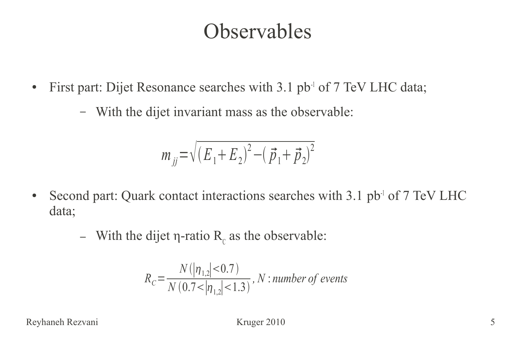#### **Observables**

- First part: Dijet Resonance searches with 3.1 pb<sup>-1</sup> of 7 TeV LHC data;
	- With the dijet invariant mass as the observable:

$$
m_{jj} = \sqrt{(E_1 + E_2)^2 - (\vec{p}_1 + \vec{p}_2)^2}
$$

- Second part: Quark contact interactions searches with 3.1 pb<sup>-1</sup> of 7 TeV LHC data;
	- With the dijet  $\eta$ -ratio  $R_c$  as the observable:

$$
R_C = \frac{N(|\eta_{1,2}|<0.7)}{N(0.7<|\eta_{1,2}|<1.3)}, N: number\ of\ events
$$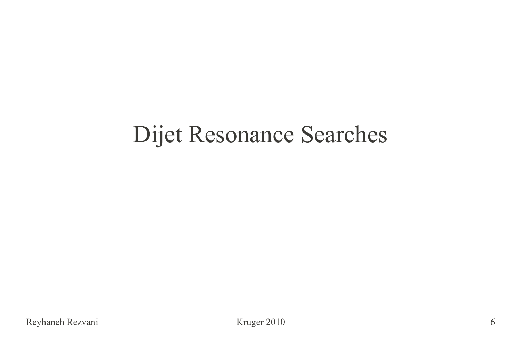## Dijet Resonance Searches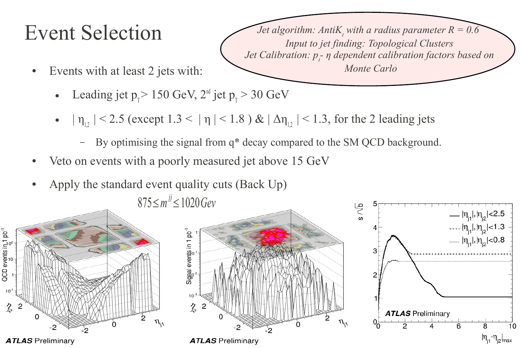#### $Event Selection$

*Jet algorithm: AntiK, with a radius parameter*  $R = 0.6$ *Input to jet finding: Topological Clusters Jet Calibration: p<sup>t</sup> - η dependent calibration factors based on Monte Carlo*

- Events with at least 2 jets with:
	- Leading jet  $p_T > 150$  GeV,  $2^{\text{nd}}$  jet  $p_T > 30$  GeV
	- $|\eta_{12}|$  < 2.5 (except 1.3 <  $|\eta|$  < 1.8 ) &  $|\Delta \eta_{12}|$  < 1.3, for the 2 leading jets
		- By optimising the signal from q\* decay compared to the SM QCD background.
- Veto on events with a poorly measured jet above 15 GeV
- Apply the standard event quality cuts (Back Up)

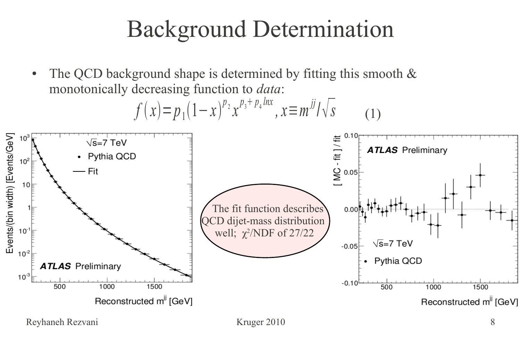# Background Determination

• The QCD background shape is determined by fitting this smooth  $&$ monotonically decreasing function to *data*:

$$
f(x)=p_1(1-x)^{p_2}x^{p_3+p_4\ln x}, x \equiv m^{jj}/\sqrt{s}
$$
\n(1)  
\n
$$
\sum_{\substack{10^{\circ} \\ \text{sum }_{10} \\ \text{sum }_{21} \\ \text{sum }_{10} \\ \text{sum }_{22} \\ \text{sum }_{23} \\ \text{sum }_{24} \\ \text{sum }_{25} \\ \text{sum }_{25} \\ \text{sum }_{25} \\ \text{sum }_{25} \\ \text{sum }_{25} \\ \text{sum }_{25} \\ \text{sum }_{25} \\ \text{sum }_{25} \\ \text{sum }_{25} \\ \text{sum }_{25} \\ \text{sum }_{25} \\ \text{sum }_{25} \\ \text{sum }_{25} \\ \text{sum }_{25} \\ \text{sum }_{25} \\ \text{sum }_{25} \\ \text{sum }_{25} \\ \text{sum }_{25} \\ \text{sum }_{25} \\ \text{sum }_{25} \\ \text{sum }_{25} \\ \text{sum }_{25} \\ \text{sum }_{25} \\ \text{sum }_{25} \\ \text{sum }_{25} \\ \text{sum }_{25} \\ \text{sum }_{25} \\ \text{sum }_{25} \\ \text{sum }_{25} \\ \text{sum }_{25} \\ \text{sum }_{25} \\ \text{sum }_{25} \\ \text{sum }_{25} \\ \text{sum }_{25} \\ \text{sum }_{25} \\ \text{sum }_{25} \\ \text{sum }_{25} \\ \text{sum }_{25} \\ \text{sum }_{25} \\ \text{sum }_{25} \\ \text{sum }_{25} \\ \text{sum }_{25} \\ \text{sum }_{25} \\ \text{sum }_{25} \\ \text{sum }_{25} \\ \text{sum }_{25} \\ \text{sum }_{25} \\ \text{sum }_{25} \\ \text{sum }_{25} \\ \text{sum }_{25} \\ \text{sum }_{25} \\ \text{sum }_{25} \\ \text{sum }_{25} \\ \text{sum }_{25} \\ \text{sum }_{25} \\ \text{sum }_{25} \\ \text{sum }_{25} \\ \text{sum }_{25} \\ \text{sum }_{25} \\ \text{sum }_{25} \\ \text{sum }_{25} \\ \text{sum }_{25} \\ \text{sum }_{25} \\ \text{
$$

Reyhaneh Rezvani Kruger 2010 **8**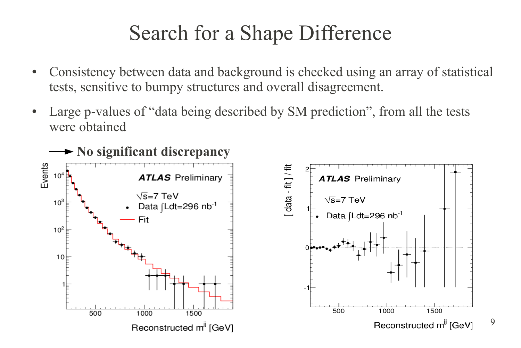## Search for a Shape Difference

- Consistency between data and background is checked using an array of statistical tests, sensitive to bumpy structures and overall disagreement.
- Large p-values of "data being described by SM prediction", from all the tests were obtained

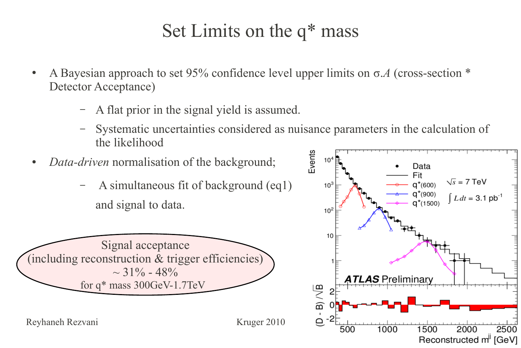#### Set Limits on the q\* mass

- A Bayesian approach to set 95% confidence level upper limits on  $\sigma$ . A (cross-section  $*$ Detector Acceptance)
	- A flat prior in the signal yield is assumed.
	- Systematic uncertainties considered as nuisance parameters in the calculation of the likelihood
- *Data-driven* normalisation of the background;
	- A simultaneous fit of background (eq1) and signal to data.



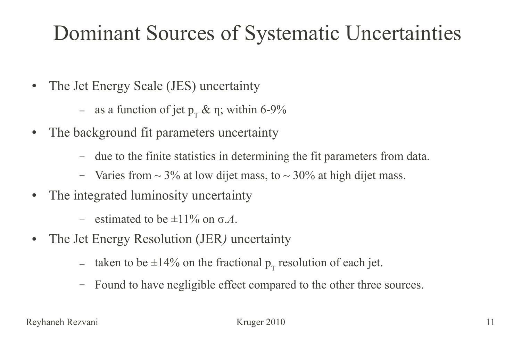#### Dominant Sources of Systematic Uncertainties

- The Jet Energy Scale (JES) uncertainty
	- as a function of jet  $p_T \& \eta$ ; within 6-9%
- The background fit parameters uncertainty
	- due to the finite statistics in determining the fit parameters from data.
	- Varies from  $\sim$  3% at low dijet mass, to  $\sim$  30% at high dijet mass.
- The integrated luminosity uncertainty
	- estimated to be  $\pm 11\%$  on  $\sigma A$ .
- The Jet Energy Resolution *(JER)* uncertainty
	- taken to be  $\pm 14\%$  on the fractional  $p_T$  resolution of each jet.
	- Found to have negligible effect compared to the other three sources.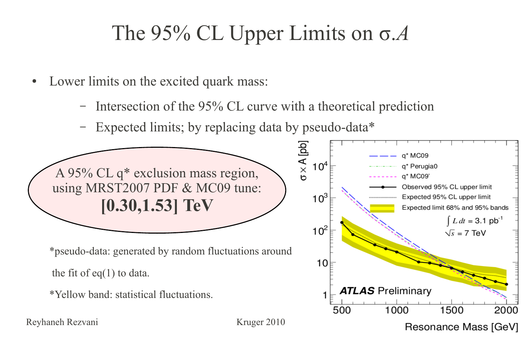## The 95% CL Upper Limits on σ.*A*

- Lower limits on the excited quark mass:
	- Intersection of the 95% CL curve with a theoretical prediction
	- Expected limits; by replacing data by pseudo-data\*

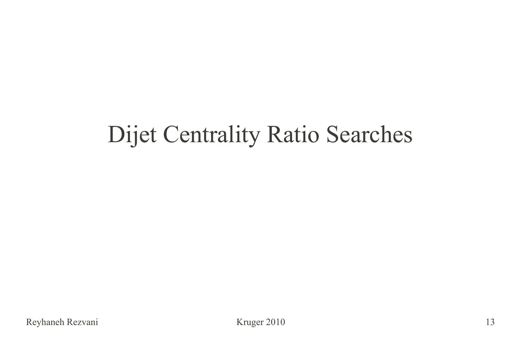# Dijet Centrality Ratio Searches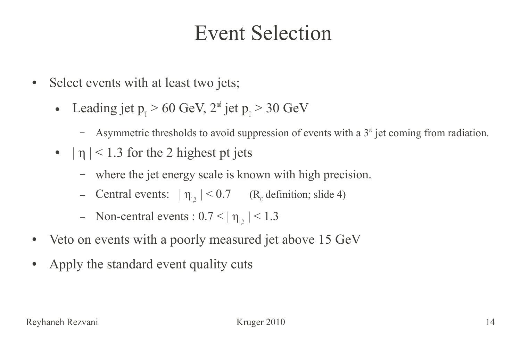#### Event Selection

- Select events with at least two jets;
	- Leading jet  $p_{\text{t}} > 60 \text{ GeV}, 2^{\text{nd}}$  jet  $p_{\text{t}} > 30 \text{ GeV}$ 
		- Asymmetric thresholds to avoid suppression of events with a  $3<sup>rd</sup>$  jet coming from radiation.
	- $\cdot$  | η | < 1.3 for the 2 highest pt jets
		- where the jet energy scale is known with high precision.
		- Central events:  $|\eta_{1,2}| < 0.7$  (R<sub>c</sub> definition; slide 4)
		- Non-central events :  $0.7 < |\eta_{12}| < 1.3$
- Veto on events with a poorly measured jet above 15 GeV
- Apply the standard event quality cuts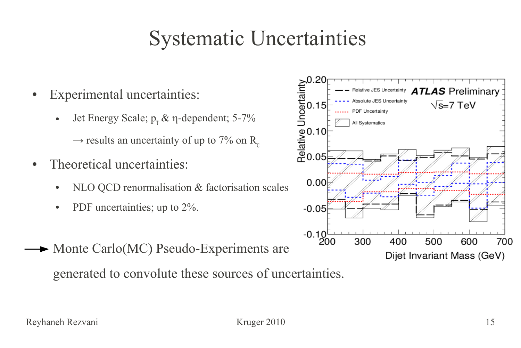#### Systematic Uncertainties

- Experimental uncertainties:
	- Jet Energy Scale;  $p_1 \& \eta$ -dependent; 5-7%

 $\rightarrow$  results an uncertainty of up to 7% on R<sub>c</sub>

- Theoretical uncertainties:
	- $NLO QCD$  renormalisation  $&$  factorisation scales
	- PDF uncertainties; up to  $2\%$ .
- Monte Carlo(MC) Pseudo-Experiments are generated to convolute these sources of uncertainties.

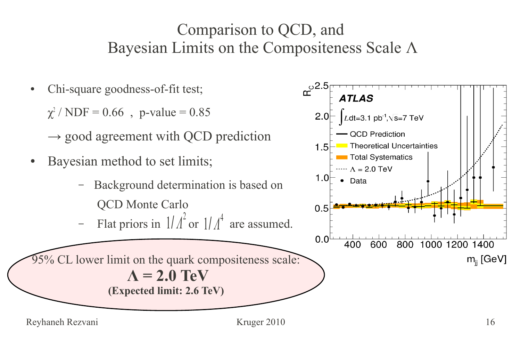#### Comparison to QCD, and Bayesian Limits on the Compositeness Scale Λ

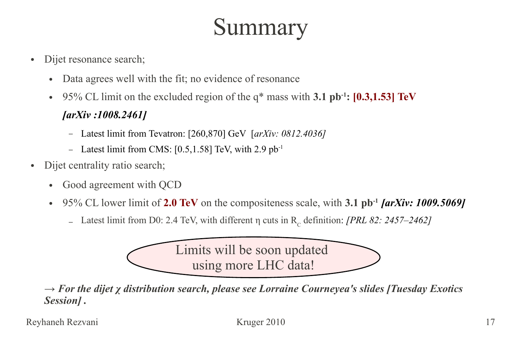# Summary

- Dijet resonance search;
	- Data agrees well with the fit; no evidence of resonance
	- 95% CL limit on the excluded region of the q\* mass with **3.1 pb-1: [0.3,1.53] TeV**

#### *[\[arXiv :1008.2461](http://arxiv.org/abs/1008.2461)]*

- Latest limit from Tevatron: [260,870] GeV [*[arXiv: 0812.4036\]](http://arxiv.org/abs/0812.4036)*
- Latest limit from CMS:  $[0.5, 1.58]$  TeV, with 2.9 pb<sup>-1</sup>
- Dijet centrality ratio search;
	- Good agreement with QCD
	- 95% CL lower limit of **2.0 TeV** on the compositeness scale, with **3.1 pb-1** *[\[arXiv: 1009.5069](http://arxiv.org/abs/1009.5069)]*
		- Latest limit from D0: 2.4 TeV, with different η cuts in R<sub>c</sub> definition: *[\[PRL 82: 2457–2462\]](http://prl.aps.org/abstract/PRL/v103/i19/e191803)*



*→ For the dijet χ distribution search, please see Lorraine Courneyea's slides [Tuesday Exotics Session] .*

Reyhaneh Rezvani Kruger 2010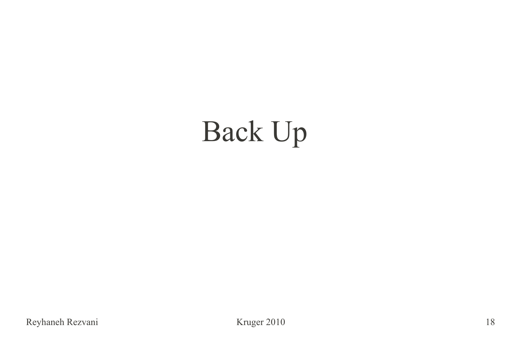# Back Up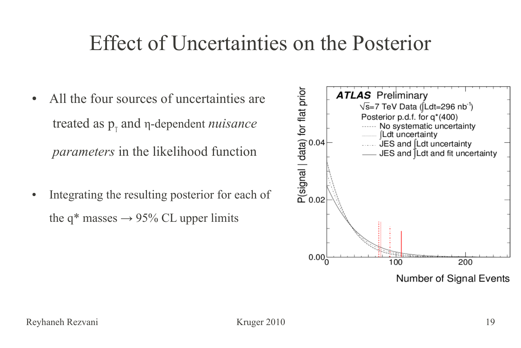#### Effect of Uncertainties on the Posterior

- All the four sources of uncertainties are treated as p<sub>τ</sub> and η-dependent *nuisance parameters* in the likelihood function
- Integrating the resulting posterior for each of the q<sup>\*</sup> masses  $\rightarrow$  95% CL upper limits

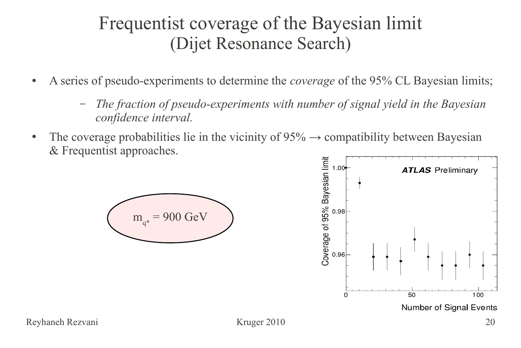#### Frequentist coverage of the Bayesian limit (Dijet Resonance Search)

- A series of pseudo-experiments to determine the *coverage* of the 95% CL Bayesian limits;
	- *The fraction of pseudo-experiments with number of signal yield in the Bayesian confidence interval.*
- The coverage probabilities lie in the vicinity of  $95\% \rightarrow$  compatibility between Bayesian & Frequentist approaches.



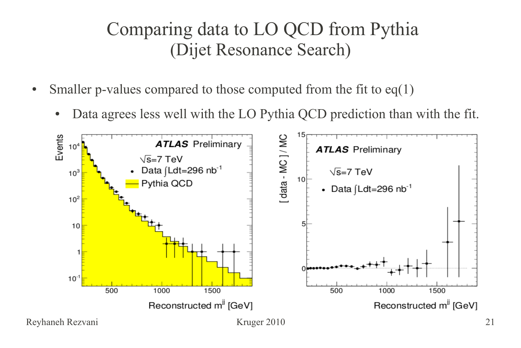#### Comparing data to LO QCD from Pythia (Dijet Resonance Search)

- Smaller p-values compared to those computed from the fit to  $eq(1)$ 
	- Data agrees less well with the LO Pythia QCD prediction than with the fit.

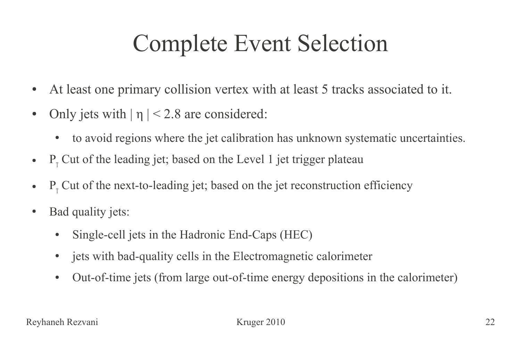# Complete Event Selection

- At least one primary collision vertex with at least 5 tracks associated to it.
- Only jets with  $|\eta| < 2.8$  are considered:
	- to avoid regions where the jet calibration has unknown systematic uncertainties.
- P<sub>T</sub> Cut of the leading jet; based on the Level 1 jet trigger plateau
- P<sub>T</sub> Cut of the next-to-leading jet; based on the jet reconstruction efficiency
- Bad quality jets:
	- Single-cell jets in the Hadronic End-Caps (HEC)
	- jets with bad-quality cells in the Electromagnetic calorimeter
	- Out-of-time jets (from large out-of-time energy depositions in the calorimeter)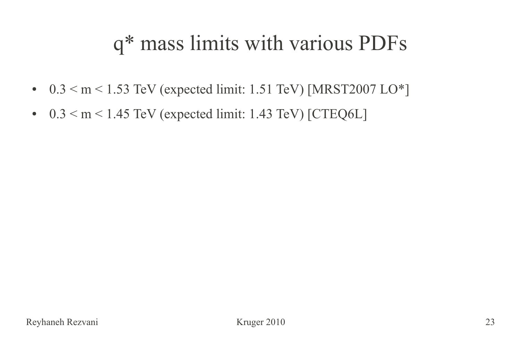## q\* mass limits with various PDFs

- $0.3 < m < 1.53$  TeV (expected limit: 1.51 TeV) [MRST2007 LO\*]
- $\bullet$  0.3  $\leq$  m  $\leq$  1.45 TeV (expected limit: 1.43 TeV) [CTEQ6L]